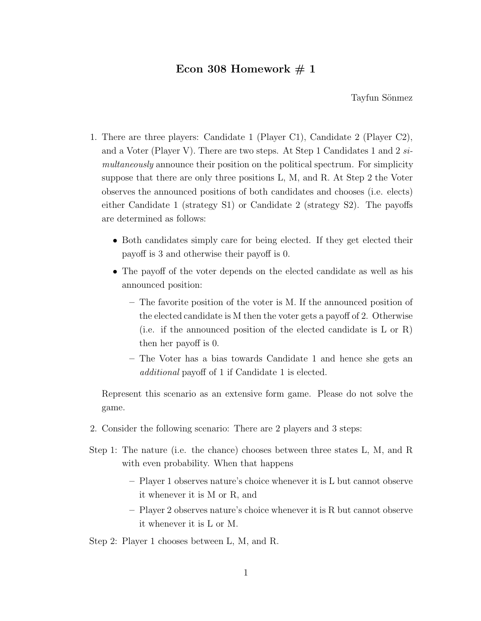## Econ 308 Homework  $\# 1$

Tayfun Sönmez

- 1. There are three players: Candidate 1 (Player C1), Candidate 2 (Player C2), and a Voter (Player V). There are two steps. At Step 1 Candidates 1 and 2 *simultaneously* announce their position on the political spectrum. For simplicity suppose that there are only three positions L, M, and R. At Step 2 the Voter observes the announced positions of both candidates and chooses (i.e. elects) either Candidate 1 (strategy S1) or Candidate 2 (strategy S2). The payoffs are determined as follows:
	- Both candidates simply care for being elected. If they get elected their payoff is 3 and otherwise their payoff is 0.
	- The payoff of the voter depends on the elected candidate as well as his announced position:
		- **–** The favorite position of the voter is M. If the announced position of the elected candidate is M then the voter gets a payoff of 2. Otherwise (i.e. if the announced position of the elected candidate is L or R) then her payoff is 0.
		- **–** The Voter has a bias towards Candidate 1 and hence she gets an *additional* payoff of 1 if Candidate 1 is elected.

Represent this scenario as an extensive form game. Please do not solve the game.

- 2. Consider the following scenario: There are 2 players and 3 steps:
- Step 1: The nature (i.e. the chance) chooses between three states L, M, and R with even probability. When that happens
	- **–** Player 1 observes nature's choice whenever it is L but cannot observe it whenever it is M or R, and
	- **–** Player 2 observes nature's choice whenever it is R but cannot observe it whenever it is L or M.

Step 2: Player 1 chooses between L, M, and R.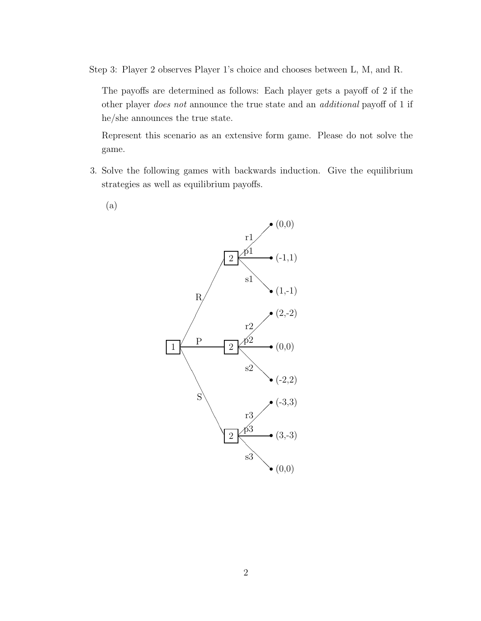Step 3: Player 2 observes Player 1's choice and chooses between L, M, and R.

The payoffs are determined as follows: Each player gets a payoff of 2 if the other player *does not* announce the true state and an *additional* payoff of 1 if he/she announces the true state.

Represent this scenario as an extensive form game. Please do not solve the game.

- 3. Solve the following games with backwards induction. Give the equilibrium strategies as well as equilibrium payoffs.
	- (a)

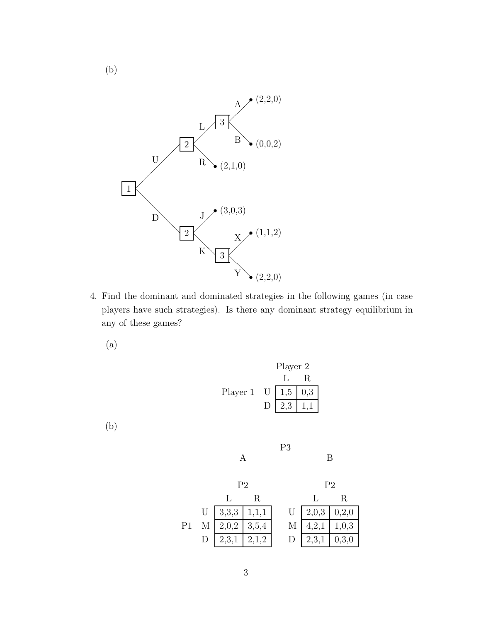

4. Find the dominant and dominated strategies in the following games (in case players have such strategies). Is there any dominant strategy equilibrium in any of these games?

(a)

Player 2  
\n
$$
\begin{array}{c|c}\n & L & R \\
\hline\nL & R & \\
\hline\nD & 2,3 & 1,1\n\end{array}
$$

(b)

P3

B

|  |                         |  |                           | $R_{\perp}$                    |  |
|--|-------------------------|--|---------------------------|--------------------------------|--|
|  | U   3,3,3   1,1,1       |  |                           | U   2,0,3   0,2,0              |  |
|  | M $\boxed{2,0,2}$ 3,5,4 |  |                           | $M \mid 4,2,1 \mid 1,0,3 \mid$ |  |
|  | D   2,3,1   2,1,2       |  | $D \mid 2,3,1 \mid 0,3,0$ |                                |  |

(b)

A